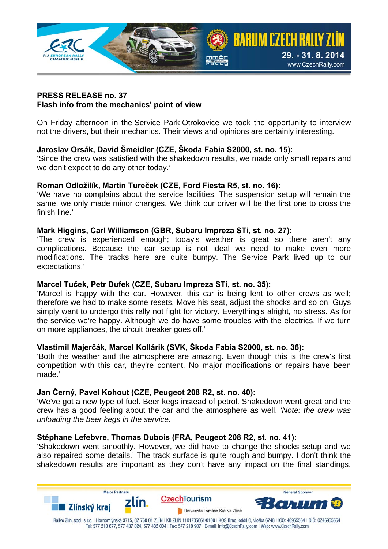

### **PRESS RELEASE no. 37 Flash info from the mechanics' point of view**

On Friday afternoon in the Service Park Otrokovice we took the opportunity to interview not the drivers, but their mechanics. Their views and opinions are certainly interesting.

## **Jaroslav Orsák, David Šmeidler (CZE, Škoda Fabia S2000, st. no. 15):**

'Since the crew was satisfied with the shakedown results, we made only small repairs and we don't expect to do any other today.'

## **Roman Odložilík, Martin Tureček (CZE, Ford Fiesta R5, st. no. 16):**

'We have no complains about the service facilities. The suspension setup will remain the same, we only made minor changes. We think our driver will be the first one to cross the finish line.'

#### **Mark Higgins, Carl Williamson (GBR, Subaru Impreza STi, st. no. 27):**

'The crew is experienced enough; today's weather is great so there aren't any complications. Because the car setup is not ideal we need to make even more modifications. The tracks here are quite bumpy. The Service Park lived up to our expectations.'

#### **Marcel Tuček, Petr Dufek (CZE, Subaru Impreza STi, st. no. 35):**

'Marcel is happy with the car. However, this car is being lent to other crews as well; therefore we had to make some resets. Move his seat, adjust the shocks and so on. Guys simply want to undergo this rally not fight for victory. Everything's alright, no stress. As for the service we're happy. Although we do have some troubles with the electrics. If we turn on more appliances, the circuit breaker goes off.'

### **Vlastimil Majerčák, Marcel Kollárik (SVK, Škoda Fabia S2000, st. no. 36):**

'Both the weather and the atmosphere are amazing. Even though this is the crew's first competition with this car, they're content. No major modifications or repairs have been made.'

#### **Jan Černý, Pavel Kohout (CZE, Peugeot 208 R2, st. no. 40):**

'We've got a new type of fuel. Beer kegs instead of petrol. Shakedown went great and the crew has a good feeling about the car and the atmosphere as well. *'Note: the crew was unloading the beer kegs in the service.*

#### **Stéphane Lefebvre, Thomas Dubois (FRA, Peugeot 208 R2, st. no. 41):**

'Shakedown went smoothly. However, we did have to change the shocks setup and we also repaired some details.' The track surface is quite rough and bumpy. I don't think the shakedown results are important as they don't have any impact on the final standings.